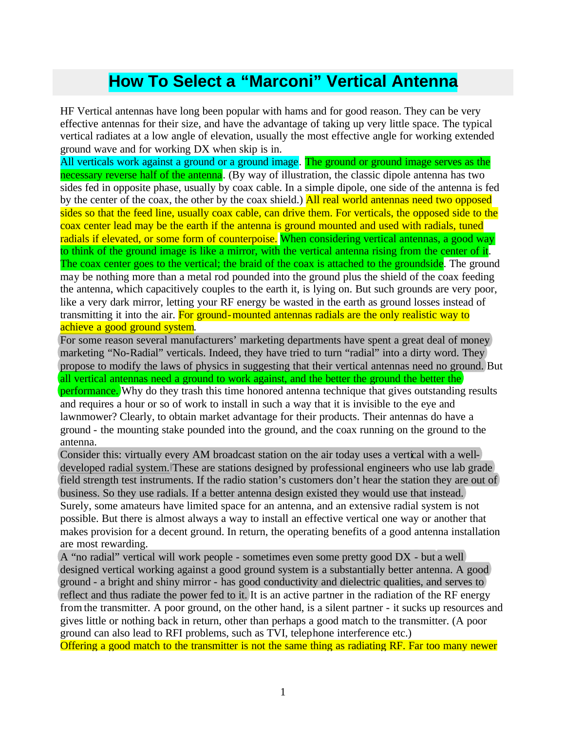## **How To Select a "Marconi" Vertical Antenna**

HF Vertical antennas have long been popular with hams and for good reason. They can be very effective antennas for their size, and have the advantage of taking up very little space. The typical vertical radiates at a low angle of elevation, usually the most effective angle for working extended ground wave and for working DX when skip is in.

All verticals work against a ground or a ground image. The ground or ground image serves as the necessary reverse half of the antenna. (By way of illustration, the classic dipole antenna has two sides fed in opposite phase, usually by coax cable. In a simple dipole, one side of the antenna is fed by the center of the coax, the other by the coax shield.) All real world antennas need two opposed sides so that the feed line, usually coax cable, can drive them. For verticals, the opposed side to the coax center lead may be the earth if the antenna is ground mounted and used with radials, tuned radials if elevated, or some form of counterpoise. When considering vertical antennas, a good way to think of the ground image is like a mirror, with the vertical antenna rising from the center of it. The coax center goes to the vertical; the braid of the coax is attached to the groundside. The ground may be nothing more than a metal rod pounded into the ground plus the shield of the coax feeding the antenna, which capacitively couples to the earth it, is lying on. But such grounds are very poor, like a very dark mirror, letting your RF energy be wasted in the earth as ground losses instead of transmitting it into the air. For ground-mounted antennas radials are the only realistic way to achieve a good ground system.

For some reason several manufacturers' marketing departments have spent a great deal of money marketing "No-Radial" verticals. Indeed, they have tried to turn "radial" into a dirty word. They propose to modify the laws of physics in suggesting that their vertical antennas need no ground. But all vertical antennas need a ground to work against, and the better the ground the better the performance. Why do they trash this time honored antenna technique that gives outstanding results and requires a hour or so of work to install in such a way that it is invisible to the eye and lawnmower? Clearly, to obtain market advantage for their products. Their antennas do have a ground - the mounting stake pounded into the ground, and the coax running on the ground to the antenna.

Consider this: virtually every AM broadcast station on the air today uses a vertical with a welldeveloped radial system. These are stations designed by professional engineers who use lab grade) field strength test instruments. If the radio station's customers don't hear the station they are out of business. So they use radials. If a better antenna design existed they would use that instead. Surely, some amateurs have limited space for an antenna, and an extensive radial system is not possible. But there is almost always a way to install an effective vertical one way or another that makes provision for a decent ground. In return, the operating benefits of a good antenna installation are most rewarding.

A "no radial" vertical will work people - sometimes even some pretty good  $DX(-)but\alpha$  well) designed vertical working against a good ground system is a substantially better antenna. A good ground - a bright and shiny mirror - has good conductivity and dielectric qualities, and serves to reflect and thus radiate the power fed to it. It is an active partner in the radiation of the RF energy from the transmitter. A poor ground, on the other hand, is a silent partner - it sucks up resources and gives little or nothing back in return, other than perhaps a good match to the transmitter. (A poor ground can also lead to RFI problems, such as TVI, telephone interference etc.) Offering a good match to the transmitter is not the same thing as radiating RF. Far too many newer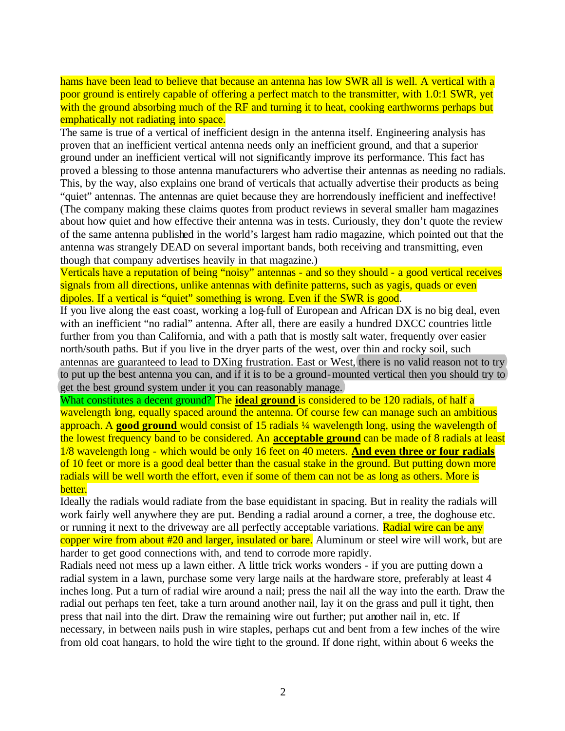hams have been lead to believe that because an antenna has low SWR all is well. A vertical with a poor ground is entirely capable of offering a perfect match to the transmitter, with 1.0:1 SWR, yet with the ground absorbing much of the RF and turning it to heat, cooking earthworms perhaps but emphatically not radiating into space.

The same is true of a vertical of inefficient design in the antenna itself. Engineering analysis has proven that an inefficient vertical antenna needs only an inefficient ground, and that a superior ground under an inefficient vertical will not significantly improve its performance. This fact has proved a blessing to those antenna manufacturers who advertise their antennas as needing no radials. This, by the way, also explains one brand of verticals that actually advertise their products as being "quiet" antennas. The antennas are quiet because they are horrendously inefficient and ineffective! (The company making these claims quotes from product reviews in several smaller ham magazines about how quiet and how effective their antenna was in tests. Curiously, they don't quote the review of the same antenna published in the world's largest ham radio magazine, which pointed out that the antenna was strangely DEAD on several important bands, both receiving and transmitting, even though that company advertises heavily in that magazine.)

Verticals have a reputation of being "noisy" antennas - and so they should - a good vertical receives signals from all directions, unlike antennas with definite patterns, such as yagis, quads or even dipoles. If a vertical is "quiet" something is wrong. Even if the SWR is good.

If you live along the east coast, working a log-full of European and African DX is no big deal, even with an inefficient "no radial" antenna. After all, there are easily a hundred DXCC countries little further from you than California, and with a path that is mostly salt water, frequently over easier north/south paths. But if you live in the dryer parts of the west, over thin and rocky soil, such antennas are guaranteed to lead to DXing frustration. East or West, there is no valid reason not to try to put up the best antenna you can, and if it is to be a ground-mounted vertical then you should try to get the best ground system under it you can reasonably manage.

What constitutes a decent ground? The **ideal ground** is considered to be 120 radials, of half a wavelength long, equally spaced around the antenna. Of course few can manage such an ambitious approach. A **good ground** would consist of 15 radials ¼ wavelength long, using the wavelength of the lowest frequency band to be considered. An **acceptable ground** can be made of 8 radials at least 1/8 wavelength long - which would be only 16 feet on 40 meters. **And even three or four radials** of 10 feet or more is a good deal better than the casual stake in the ground. But putting down more radials will be well worth the effort, even if some of them can not be as long as others. More is better.

Ideally the radials would radiate from the base equidistant in spacing. But in reality the radials will work fairly well anywhere they are put. Bending a radial around a corner, a tree, the doghouse etc. or running it next to the driveway are all perfectly acceptable variations. Radial wire can be any copper wire from about #20 and larger, insulated or bare. Aluminum or steel wire will work, but are harder to get good connections with, and tend to corrode more rapidly.

Radials need not mess up a lawn either. A little trick works wonders - if you are putting down a radial system in a lawn, purchase some very large nails at the hardware store, preferably at least 4 inches long. Put a turn of radial wire around a nail; press the nail all the way into the earth. Draw the radial out perhaps ten feet, take a turn around another nail, lay it on the grass and pull it tight, then press that nail into the dirt. Draw the remaining wire out further; put another nail in, etc. If necessary, in between nails push in wire staples, perhaps cut and bent from a few inches of the wire from old coat hangars, to hold the wire tight to the ground. If done right, within about 6 weeks the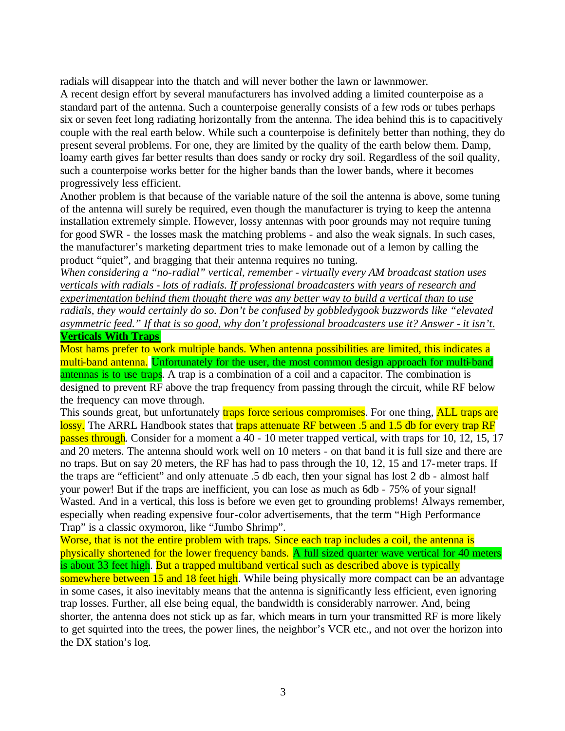radials will disappear into the thatch and will never bother the lawn or lawnmower.

A recent design effort by several manufacturers has involved adding a limited counterpoise as a standard part of the antenna. Such a counterpoise generally consists of a few rods or tubes perhaps six or seven feet long radiating horizontally from the antenna. The idea behind this is to capacitively couple with the real earth below. While such a counterpoise is definitely better than nothing, they do present several problems. For one, they are limited by the quality of the earth below them. Damp, loamy earth gives far better results than does sandy or rocky dry soil. Regardless of the soil quality, such a counterpoise works better for the higher bands than the lower bands, where it becomes progressively less efficient.

Another problem is that because of the variable nature of the soil the antenna is above, some tuning of the antenna will surely be required, even though the manufacturer is trying to keep the antenna installation extremely simple. However, lossy antennas with poor grounds may not require tuning for good SWR - the losses mask the matching problems - and also the weak signals. In such cases, the manufacturer's marketing department tries to make lemonade out of a lemon by calling the product "quiet", and bragging that their antenna requires no tuning.

*When considering a "no-radial" vertical, remember - virtually every AM broadcast station uses verticals with radials - lots of radials. If professional broadcasters with years of research and experimentation behind them thought there was any better way to build a vertical than to use radials, they would certainly do so. Don't be confused by gobbledygook buzzwords like "elevated asymmetric feed." If that is so good, why don't professional broadcasters use it? Answer - it isn't.* **Verticals With Traps**

Most hams prefer to work multiple bands. When antenna possibilities are limited, this indicates a multi-band antenna. Unfortunately for the user, the most common design approach for multi-band antennas is to use traps. A trap is a combination of a coil and a capacitor. The combination is designed to prevent RF above the trap frequency from passing through the circuit, while RF below the frequency can move through.

This sounds great, but unfortunately **traps force serious compromises**. For one thing, **ALL traps are** lossy. The ARRL Handbook states that traps attenuate RF between .5 and 1.5 db for every trap RF passes through. Consider for a moment a 40 - 10 meter trapped vertical, with traps for 10, 12, 15, 17 and 20 meters. The antenna should work well on 10 meters - on that band it is full size and there are no traps. But on say 20 meters, the RF has had to pass through the 10, 12, 15 and 17-meter traps. If the traps are "efficient" and only attenuate .5 db each, then your signal has lost 2 db - almost half your power! But if the traps are inefficient, you can lose as much as 6db - 75% of your signal! Wasted. And in a vertical, this loss is before we even get to grounding problems! Always remember, especially when reading expensive four-color advertisements, that the term "High Performance Trap" is a classic oxymoron, like "Jumbo Shrimp".

Worse, that is not the entire problem with traps. Since each trap includes a coil, the antenna is physically shortened for the lower frequency bands. A full sized quarter wave vertical for 40 meters is about 33 feet high. But a trapped multiband vertical such as described above is typically somewhere between 15 and 18 feet high. While being physically more compact can be an advantage in some cases, it also inevitably means that the antenna is significantly less efficient, even ignoring trap losses. Further, all else being equal, the bandwidth is considerably narrower. And, being shorter, the antenna does not stick up as far, which means in turn your transmitted RF is more likely to get squirted into the trees, the power lines, the neighbor's VCR etc., and not over the horizon into the DX station's log.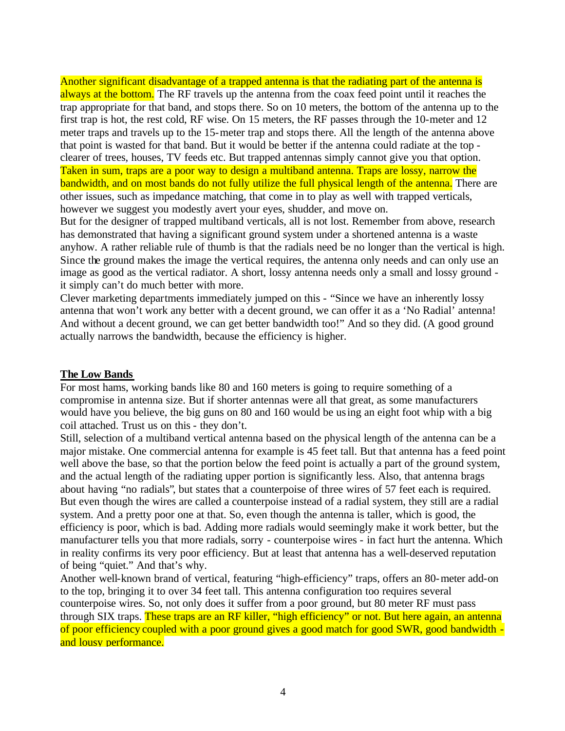Another significant disadvantage of a trapped antenna is that the radiating part of the antenna is always at the bottom. The RF travels up the antenna from the coax feed point until it reaches the trap appropriate for that band, and stops there. So on 10 meters, the bottom of the antenna up to the first trap is hot, the rest cold, RF wise. On 15 meters, the RF passes through the 10-meter and 12 meter traps and travels up to the 15-meter trap and stops there. All the length of the antenna above that point is wasted for that band. But it would be better if the antenna could radiate at the top clearer of trees, houses, TV feeds etc. But trapped antennas simply cannot give you that option. Taken in sum, traps are a poor way to design a multiband antenna. Traps are lossy, narrow the bandwidth, and on most bands do not fully utilize the full physical length of the antenna. There are other issues, such as impedance matching, that come in to play as well with trapped verticals, however we suggest you modestly avert your eyes, shudder, and move on.

But for the designer of trapped multiband verticals, all is not lost. Remember from above, research has demonstrated that having a significant ground system under a shortened antenna is a waste anyhow. A rather reliable rule of thumb is that the radials need be no longer than the vertical is high. Since the ground makes the image the vertical requires, the antenna only needs and can only use an image as good as the vertical radiator. A short, lossy antenna needs only a small and lossy ground it simply can't do much better with more.

Clever marketing departments immediately jumped on this - "Since we have an inherently lossy antenna that won't work any better with a decent ground, we can offer it as a 'No Radial' antenna! And without a decent ground, we can get better bandwidth too!" And so they did. (A good ground actually narrows the bandwidth, because the efficiency is higher.

## **The Low Bands**

For most hams, working bands like 80 and 160 meters is going to require something of a compromise in antenna size. But if shorter antennas were all that great, as some manufacturers would have you believe, the big guns on 80 and 160 would be using an eight foot whip with a big coil attached. Trust us on this - they don't.

Still, selection of a multiband vertical antenna based on the physical length of the antenna can be a major mistake. One commercial antenna for example is 45 feet tall. But that antenna has a feed point well above the base, so that the portion below the feed point is actually a part of the ground system, and the actual length of the radiating upper portion is significantly less. Also, that antenna brags about having "no radials", but states that a counterpoise of three wires of 57 feet each is required. But even though the wires are called a counterpoise instead of a radial system, they still are a radial system. And a pretty poor one at that. So, even though the antenna is taller, which is good, the efficiency is poor, which is bad. Adding more radials would seemingly make it work better, but the manufacturer tells you that more radials, sorry - counterpoise wires - in fact hurt the antenna. Which in reality confirms its very poor efficiency. But at least that antenna has a well-deserved reputation of being "quiet." And that's why.

Another well-known brand of vertical, featuring "high-efficiency" traps, offers an 80-meter add-on to the top, bringing it to over 34 feet tall. This antenna configuration too requires several counterpoise wires. So, not only does it suffer from a poor ground, but 80 meter RF must pass through SIX traps. These traps are an RF killer, "high efficiency" or not. But here again, an antenna of poor efficiency coupled with a poor ground gives a good match for good SWR, good bandwidth and lousy performance.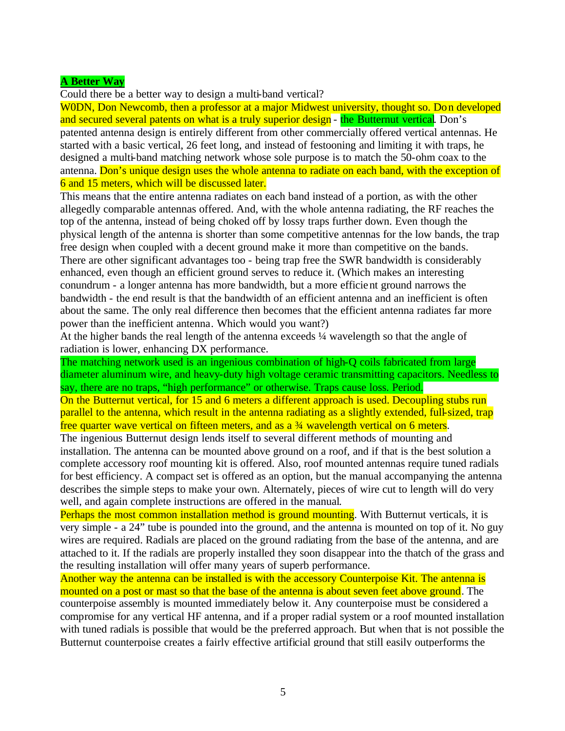## **A Better Way**

Could there be a better way to design a multi-band vertical?

WODN, Don Newcomb, then a professor at a major Midwest university, thought so. Don developed and secured several patents on what is a truly superior design - the Butternut vertical. Don's

patented antenna design is entirely different from other commercially offered vertical antennas. He started with a basic vertical, 26 feet long, and instead of festooning and limiting it with traps, he designed a multi-band matching network whose sole purpose is to match the 50-ohm coax to the antenna. Don's unique design uses the whole antenna to radiate on each band, with the exception of 6 and 15 meters, which will be discussed later.

This means that the entire antenna radiates on each band instead of a portion, as with the other allegedly comparable antennas offered. And, with the whole antenna radiating, the RF reaches the top of the antenna, instead of being choked off by lossy traps further down. Even though the physical length of the antenna is shorter than some competitive antennas for the low bands, the trap free design when coupled with a decent ground make it more than competitive on the bands. There are other significant advantages too - being trap free the SWR bandwidth is considerably enhanced, even though an efficient ground serves to reduce it. (Which makes an interesting conundrum - a longer antenna has more bandwidth, but a more efficient ground narrows the bandwidth - the end result is that the bandwidth of an efficient antenna and an inefficient is often about the same. The only real difference then becomes that the efficient antenna radiates far more power than the inefficient antenna. Which would you want?)

At the higher bands the real length of the antenna exceeds ¼ wavelength so that the angle of radiation is lower, enhancing DX performance.

The matching network used is an ingenious combination of high-Q coils fabricated from large diameter aluminum wire, and heavy-duty high voltage ceramic transmitting capacitors. Needless to say, there are no traps, "high performance" or otherwise. Traps cause loss. Period.

On the Butternut vertical, for 15 and 6 meters a different approach is used. Decoupling stubs run parallel to the antenna, which result in the antenna radiating as a slightly extended, full-sized, trap free quarter wave vertical on fifteen meters, and as a ¾ wavelength vertical on 6 meters.

The ingenious Butternut design lends itself to several different methods of mounting and installation. The antenna can be mounted above ground on a roof, and if that is the best solution a complete accessory roof mounting kit is offered. Also, roof mounted antennas require tuned radials for best efficiency. A compact set is offered as an option, but the manual accompanying the antenna describes the simple steps to make your own. Alternately, pieces of wire cut to length will do very well, and again complete instructions are offered in the manual.

Perhaps the most common installation method is ground mounting. With Butternut verticals, it is very simple - a 24" tube is pounded into the ground, and the antenna is mounted on top of it. No guy wires are required. Radials are placed on the ground radiating from the base of the antenna, and are attached to it. If the radials are properly installed they soon disappear into the thatch of the grass and the resulting installation will offer many years of superb performance.

Another way the antenna can be installed is with the accessory Counterpoise Kit. The antenna is mounted on a post or mast so that the base of the antenna is about seven feet above ground. The counterpoise assembly is mounted immediately below it. Any counterpoise must be considered a compromise for any vertical HF antenna, and if a proper radial system or a roof mounted installation with tuned radials is possible that would be the preferred approach. But when that is not possible the Butternut counterpoise creates a fairly effective artificial ground that still easily outperforms the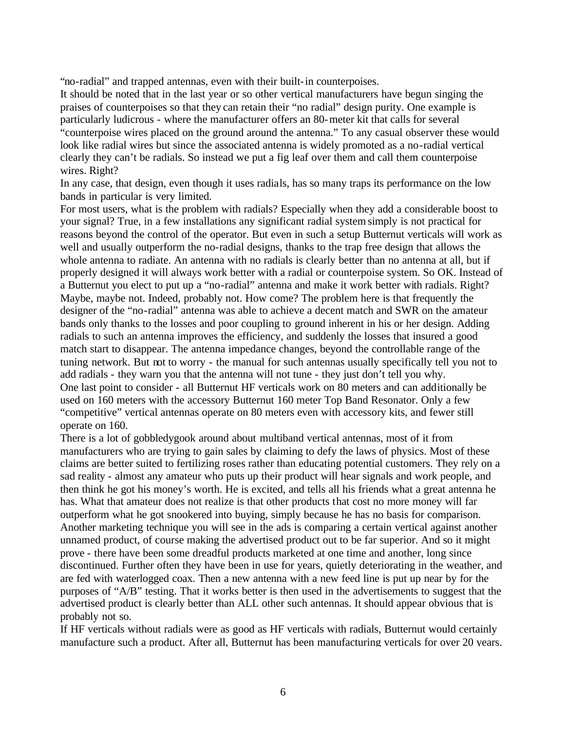"no-radial" and trapped antennas, even with their built-in counterpoises.

It should be noted that in the last year or so other vertical manufacturers have begun singing the praises of counterpoises so that they can retain their "no radial" design purity. One example is particularly ludicrous - where the manufacturer offers an 80-meter kit that calls for several "counterpoise wires placed on the ground around the antenna." To any casual observer these would look like radial wires but since the associated antenna is widely promoted as a no-radial vertical clearly they can't be radials. So instead we put a fig leaf over them and call them counterpoise wires. Right?

In any case, that design, even though it uses radials, has so many traps its performance on the low bands in particular is very limited.

For most users, what is the problem with radials? Especially when they add a considerable boost to your signal? True, in a few installations any significant radial system simply is not practical for reasons beyond the control of the operator. But even in such a setup Butternut verticals will work as well and usually outperform the no-radial designs, thanks to the trap free design that allows the whole antenna to radiate. An antenna with no radials is clearly better than no antenna at all, but if properly designed it will always work better with a radial or counterpoise system. So OK. Instead of a Butternut you elect to put up a "no-radial" antenna and make it work better with radials. Right? Maybe, maybe not. Indeed, probably not. How come? The problem here is that frequently the designer of the "no-radial" antenna was able to achieve a decent match and SWR on the amateur bands only thanks to the losses and poor coupling to ground inherent in his or her design. Adding radials to such an antenna improves the efficiency, and suddenly the losses that insured a good match start to disappear. The antenna impedance changes, beyond the controllable range of the tuning network. But not to worry - the manual for such antennas usually specifically tell you not to add radials - they warn you that the antenna will not tune - they just don't tell you why. One last point to consider - all Butternut HF verticals work on 80 meters and can additionally be used on 160 meters with the accessory Butternut 160 meter Top Band Resonator. Only a few "competitive" vertical antennas operate on 80 meters even with accessory kits, and fewer still operate on 160.

There is a lot of gobbledygook around about multiband vertical antennas, most of it from manufacturers who are trying to gain sales by claiming to defy the laws of physics. Most of these claims are better suited to fertilizing roses rather than educating potential customers. They rely on a sad reality - almost any amateur who puts up their product will hear signals and work people, and then think he got his money's worth. He is excited, and tells all his friends what a great antenna he has. What that amateur does not realize is that other products that cost no more money will far outperform what he got snookered into buying, simply because he has no basis for comparison. Another marketing technique you will see in the ads is comparing a certain vertical against another unnamed product, of course making the advertised product out to be far superior. And so it might prove - there have been some dreadful products marketed at one time and another, long since discontinued. Further often they have been in use for years, quietly deteriorating in the weather, and are fed with waterlogged coax. Then a new antenna with a new feed line is put up near by for the purposes of "A/B" testing. That it works better is then used in the advertisements to suggest that the advertised product is clearly better than ALL other such antennas. It should appear obvious that is probably not so.

If HF verticals without radials were as good as HF verticals with radials, Butternut would certainly manufacture such a product. After all, Butternut has been manufacturing verticals for over 20 years.